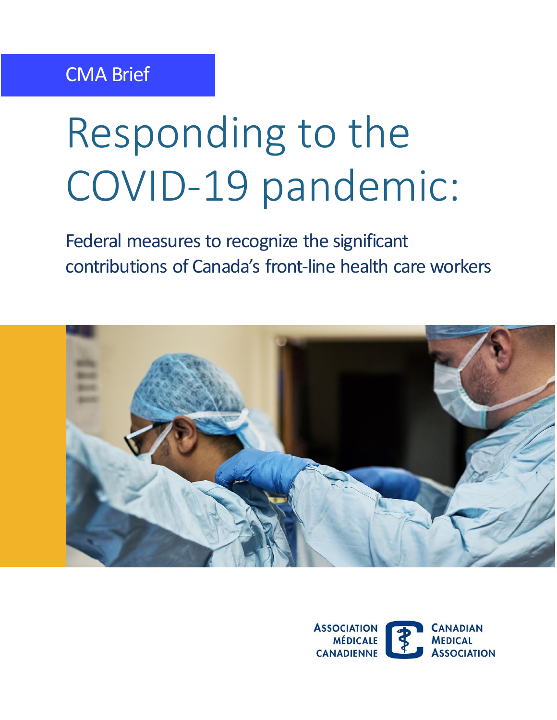# Responding to the COVID-19 pandemic:

 Federal measures to recognize the significant contributions of Canada's front-line health care workers



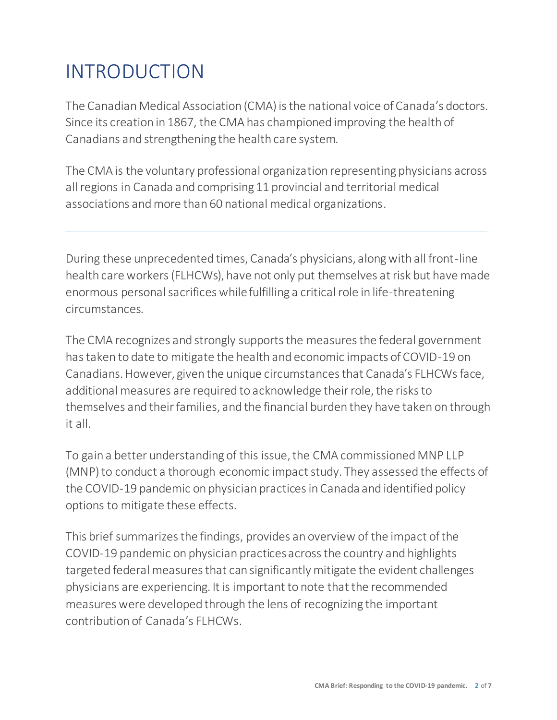# INTRODUCTION

The Canadian Medical Association (CMA) is the national voice of Canada's doctors. Since its creation in 1867, the CMA has championed improving the health of Canadians and strengthening the health care system.

 The CMA is the voluntary professional organization representing physicians across all regions in Canada and comprising 11 provincial and territorial medical associations and more than 60 national medical organizations.

 During these unprecedented times, Canada's physicians, alongwith all front-line health care workers (FLHCWs), have not only put themselves at risk but have made enormous personal sacrifices while fulfilling a critical role in life-threatening circumstances.

The CMA recognizes and strongly supports the measures the federal government has taken to date to mitigate the health and economic impacts of COVID-19 on Canadians.However, given the unique circumstances that Canada's FLHCWs face, additional measures are required to acknowledge their role, the risks to themselves and their families, and the financial burden they have taken on through it all.

 To gain a better understanding of this issue, the CMA commissioned MNP LLP (MNP) to conduct a thorough economic impact study. They assessed the effects of the COVID-19 pandemic on physician practices in Canada and identified policy options to mitigate these effects.

 This brief summarizes the findings, provides an overview of the impact of the COVID-19 pandemic on physician practices across the country and highlights targeted federal measures that can significantly mitigate the evident challenges physicians are experiencing. It is important to note that the recommended measures were developed through the lens of recognizing the important contribution of Canada's FLHCWs.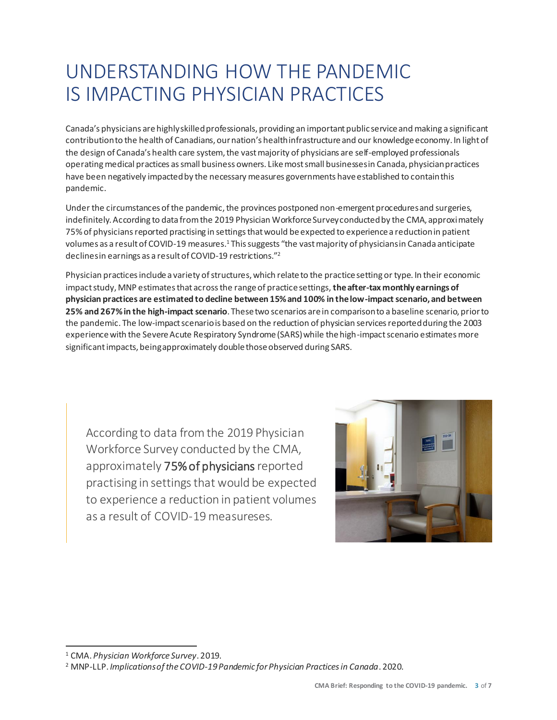# UNDERSTANDING HOW THE PANDEMIC IS IMPACTING PHYSICIAN PRACTICES

Canada's physicians are highlyskilled professionals, providing an important public service and making a significant contributionto the health of Canadians, our nation's healthinfrastructure and our knowledge economy. In lightof the design of Canada's health care system, the vast majority of physicians are self-employed professionals operating medical practices as small business owners. Like most small businessesin Canada, physicianpractices have been negatively impactedby the necessary measures governments haveestablished to contain this pandemic.

 Under the circumstances of the pandemic, the provinces postponed non-emergent proceduresand surgeries, indefinitely. According to data from the 2019 Physician Workforce Surveyconductedby the CMA, approximately 75% of physicians reported practising in settings that would be expected to experience a reduction in patient volumes as a result of COVID-19 measures.1 This suggests "the vast majority of physiciansin Canada anticipate declinesin earnings as a result of COVID-19 restrictions."<sup>2</sup>

 Physician practices include a variety of structures, which relate to the practice setting or type. In their economic impact study, MNP estimates that across the range of practice settings, **the after-tax monthly earnings of physician practices are estimated to decline between 15%and 100% in thelow-impact scenario, and between 25% and 267% in the high-impact scenario**. These two scenarios are in comparison to a baseline scenario, prior to the pandemic. The low-impact scenariois based on the reduction of physician services reportedduring the 2003 experiencewith the Severe Acute Respiratory Syndrome (SARS)while the high-impact scenario estimates more significant impacts, beingapproximately double those observed during SARS.

 According to data from the 2019 Physician Workforce Survey conducted by the CMA, approximately 75% of physicians reported practising in settings that would be expected to experience a reduction in patient volumes as a result of COVID-19 measureses.



<sup>1</sup> CMA. *Physician Workforce Survey*. 2019. 2 MNP-LLP. *Implicationsof the COVID-19Pandemic forPhysician Practicesin Canada*. 2020.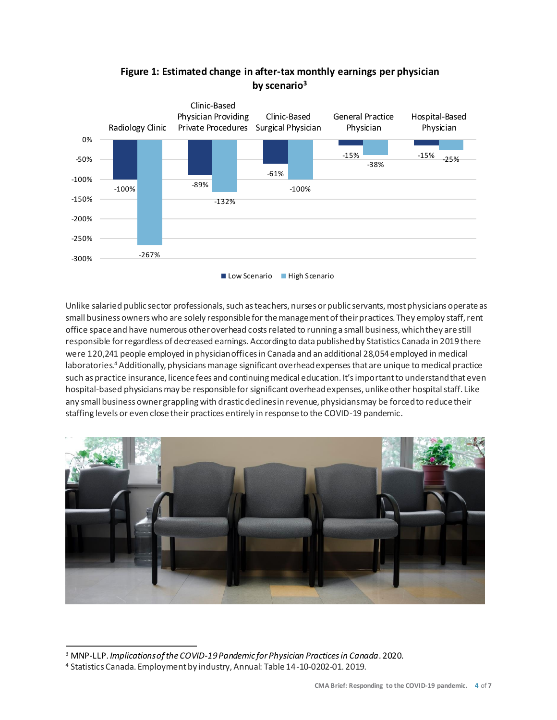

#### **Figure 1: Estimated change in after-tax monthly earnings per physician by scenario3**

 Unlike salaried public sector professionals, such as teachers, nurses or public servants, most physicians operate as small business owners who are solely responsible for the management of their practices. They employ staff, rent office space and have numerous other overhead costs related to running a small business, which they are still responsible for regardless of decreased earnings. Accordingto data publishedby Statistics Canada in 2019 there were 120,241 people employed in physicianoffices in Canada and an additional 28,054employed in medical laboratories.<sup>4</sup> Additionally, physicians manage significant overheadexpenses that are unique to medical practice such as practice insurance, licencefees and continuingmedical education. It'simportant to understand that even hospital-based physicians may be responsible for significant overheadexpenses, unlike other hospital staff. Like any small business ownergrappling with drastic declinesin revenue, physiciansmay be forced to reduce their staffing levels or even close their practices entirely in response to the COVID-19 pandemic.



<sup>&</sup>lt;sup>3</sup> MNP-LLP. *Implications of the COVID-19 Pandemic for Physician Practices in Canada*. 2020.<br><sup>4</sup> Statistics Canada. Employment by industry, Annual: Table 14-10-0202-01. 2019.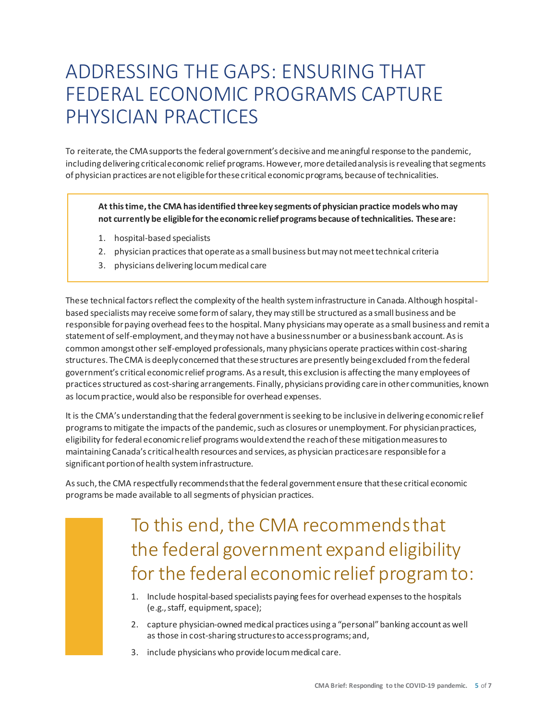# ADDRESSING THE GAPS: ENSURING THAT FEDERAL ECONOMIC PROGRAMS CAPTURE PHYSICIAN PRACTICES

 To reiterate, the CMA supports the federal government's decisive and meaningful response to the pandemic, including delivering criticaleconomic relief programs. However, more detailedanalysis is revealing that segments of physician practices are not eligible for these critical economic programs, because of technicalities.

 **At this time, the CMA has identified three key segments of physician practice models who may not currently be eligible for the economic relief programs because of technicalities. These are:** 

- 1. hospital-based specialists
- 2. physician practices that operate as a small business but may not meet technical criteria
- 3. physicians delivering locum medical care

 These technical factors reflect the complexity of the health system infrastructure in Canada. Although hospital- based specialists may receive some form of salary, they may still be structured as a small business and be responsible for paying overhead fees to the hospital. Many physicians may operate as a small business and remit a statement of self-employment, and theymay not have a businessnumber or a businessbank account. As is common amongst other self-employed professionals, many physicians operate practices within cost-sharing structures. The CMA is deeplyconcerned that these structures are presently beingexcluded from the federal government's critical economic relief programs. As a result, this exclusion is affecting the many employees of practices structured as cost-sharing arrangements. Finally, physicians providing care in other communities, known as locum practice, would also be responsible for overhead expenses.

It is the CMA's understanding that the federal government is seeking to be inclusive in delivering economic relief programs to mitigate the impacts of the pandemic, such as closures or unemployment. For physician practices, eligibility for federal economic relief programs wouldextendthe reachof these mitigationmeasuresto maintaining Canada's criticalhealth resources and services, as physician practicesare responsiblefor a significant portionof health system infrastructure.

 As such, the CMA respectfully recommendsthat the federal government ensure that these critical economic programs be made available to all segments of physician practices.

# To this end, the CMA recommends that the federal government expand eligibility for the federal economicrelief program to:

- (e.g., staff, equipment, space); 1. Include hospital-based specialists paying fees for overhead expenses to the hospitals
- 2. capture physician-owned medical practices using a "personal"banking account as well as those in cost-sharing structuresto accessprograms;and,
- 3. include physicians who provide locum medical care.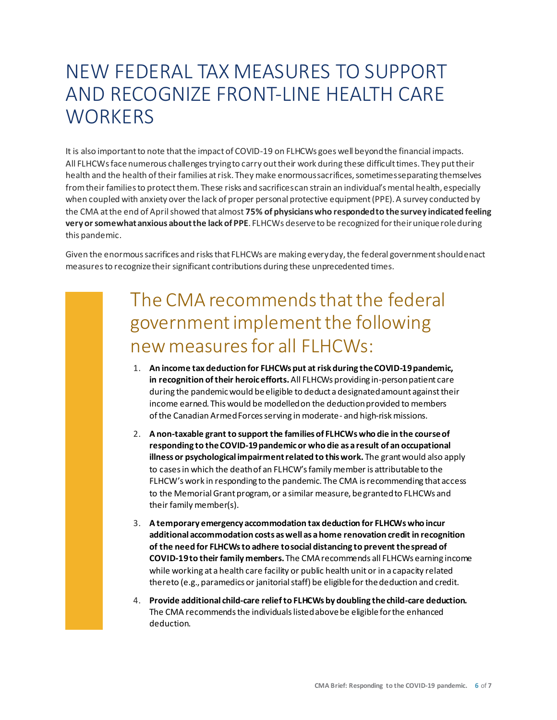### NEW FEDERAL TAX MEASURES TO SUPPORT AND RECOGNIZE FRONT-LINE HEALTH CARE **WORKERS**

It is also importantto note thatthe impactof COVID-19 on FLHCWs goes well beyondthe financial impacts. All FLHCWs face numerous challenges trying to carry out their work during these difficult times. They put their health and the health of their families at risk. They make enormoussacrifices, sometimesseparating themselves from their families to protect them. These risks and sacrifices can strain an individual's mental health, especially when coupled with anxiety over the lack of proper personal protective equipment (PPE). A survey conducted by the CMA at the end of April showed that almost **75% of physicianswho respondedto thesurvey indicated feeling very or somewhat anxious about the lack of PPE**. FLHCWs deserve to be recognized for their unique role during this pandemic.

 Given the enormous sacrifices and risks that FLHCWs are making everyday, the federal government shouldenact measures to recognize their significant contributions during these unprecedented times.

### The CMA recommends that the federal government implement the following newmeasuresfor all FLHCWs:

- **in recognition of their heroic efforts.** All FLHCWs providing in-personpatient care during the pandemicwould beeligible to deduct a designatedamount against their income earned. This would be modelledon the deductionprovided to members of the Canadian Armed Forces serving in moderate- and high-risk missions. 1. **An income tax deduction for FLHCWs put at risk during the COVID-19 pandemic,**
- 2. **A non-taxable grant to support the families of FLHCWs who die in the course of responding to the COVID-19 pandemic or who die as a result of an occupational illness or psychological impairment related to this work.** The grant would also apply to cases in which the deathof an FLHCW's family member is attributable to the FLHCW's work in responding to the pandemic. The CMA isrecommending that access to the Memorial Grant program, or a similar measure, be granted to FLHCWs and their family member(s).
- 3. **A temporary emergency accommodation tax deduction for FLHCWs who incur additional accommodation costs as well as a home renovation credit in recognition of the need for FLHCWs to adhere tosocial distancing to prevent the spread of COVID-19 to their family members.** The CMA recommends all FLHCWs earning income while working at a health care facility or public health unit or in a capacity related thereto (e.g., paramedics or janitorial staff) be eligible for the deduction and credit.
- 4. **Provide additional child-care relief to FLHCWs by doubling the child-care deduction.**  The CMA recommends the individuals listedabove be eligible for the enhanced deduction.